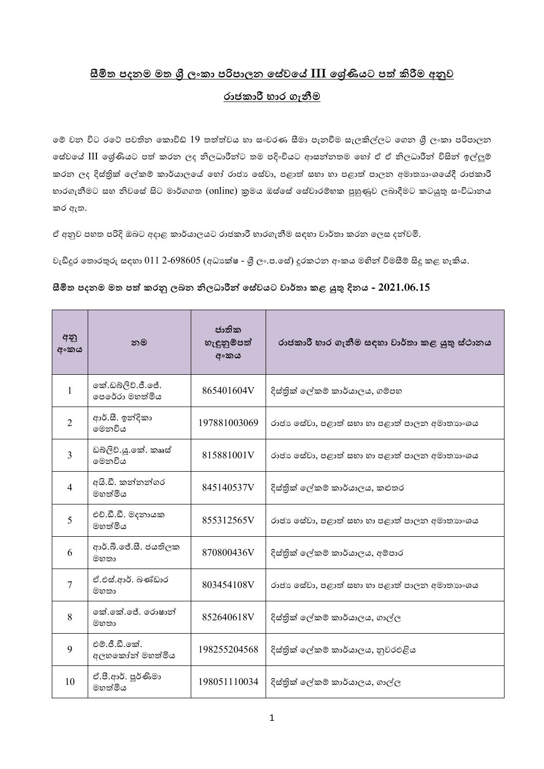## <u>සීමිත පදනම මත ශී ලංකා පරිපාලන සේවයේ III ඉශ්ණියට පත් කිරීම අනුව</u> රාජකාරී භාර ගැනීම

මේ වන විට රටේ පවතින කොවිඩ්  $19$  තත්ත්වය හා සංචරණ සීමා පැනවීම සැලකිල්ලට ගෙන ශීු ලංකා පරිපාලන මස්වයේ III මශ්ණියට පත් කරන ලද නිලධාරීන්ට තම පදිංචියට ආසන්නතම හෝ ඒ ඒ නිලධාරීන් විසින් ඉල්ලුම් කරන ලද දිස්තුික් ලේකම් කාර්යාලයේ හෝ රාජා සේවා, පළාත් සභා හා පළාත් පාලන අමාතාහංශයේදී රාජකාරී භාරගැනීමට සහ නිවසේ සිට මාර්ගගත (online) කුමය ඔස්සේ සේවාරම්භක පුහුණුව ලබාදීමට කටයුතු සංවිධානය ර ඇත.

ඒ අනුව පහත පරිදි ඔබට අදාළ කාර්යාලයට රාජකාරී භාරගැනීම සඳහා වාර්තා කරන ලෙස දන්වමි.

වැඩිදුර තොරතුරු සඳහා  $011$  2-698605 (අධා $s$ ක්ෂ - ශූී ලං.ප.සේ) දුරකථන අංකය මහින් විමසීම් සිදු කළ හැකිය.

## **සීමිත ඳදනම මත ඳ ක රනු කබන නිකධපම න් ව යේ ප ේපර්තප ළ යුතු දින - 2021.06.15**

| අනු<br>අංකය    | නම                                  | ජාතික<br>හැඳුනුම්පත්<br>අංකය | රාජකාරී භාර ගැනීම සඳහා වාර්තා කළ යුතු ස්ථානය |
|----------------|-------------------------------------|------------------------------|----------------------------------------------|
| 1              | කේ.ඩබ්ලිව්.ජී.ජේ.<br>පෙරේරා මහත්මිය | 865401604V                   | දිස්තික් ලේකම් කාර්යාලය, ගම්පහ               |
| $\overline{2}$ | ආර්.සී. ඉන්දිකා<br>මෙනවිය           | 197881003069                 | රාජා සේවා, පළාත් සභා හා පළාත් පාලන අමාතාහංශය |
| $\overline{3}$ | ඩබ්ලිව්.ශූ.කේ. කෲස්<br>මෙනවිය       | 815881001V                   | රාජා සේවා, පළාත් සභා හා පළාත් පාලන අමාතාහංශය |
| $\overline{4}$ | අයි.ඩී. කන්නන්ගර<br>මහත්මිය         | 845140537V                   | දිස්තික් ලේකම් කාර්යාලය, කළුතර               |
| 5              | එච්.ඩී.ඩී. මදනායක<br>මහත්මිය        | 855312565V                   | රාජා සේවා, පළාත් සභා හා පළාත් පාලන අමාතාහංශය |
| 6              | ආර්.බී.ජේ.සී. ජයතිලක<br>මහතා        | 870800436V                   | දිස්තික් ලේකම් කාර්යාලය, අම්පාර              |
| 7              | ඒ.එස්.ආර්. බණ්ඩාර<br>මහතා           | 803454108V                   | රාජා සේවා, පළාත් සභා හා පළාත් පාලන අමාතාහංශය |
| 8              | කේ.කේ.ජේ. රොෂාන්<br>මහතා            | 852640618V                   | දිස්තික් ලේකම් කාර්යාලය, ගාල්ල               |
| 9              | එම්.ජී.ඩී.කේ.<br>අලහකෝන් මහත්මිය    | 198255204568                 | දිස්තික් ලේකම් කාර්යාලය, නුවරඑළිය            |
| 10             | ඒ.පී.ආර්. පූර්ණිමා<br>මහත්මිය       | 198051110034                 | දිස්තික් ලේකම් කාර්යාලය, ගාල්ල               |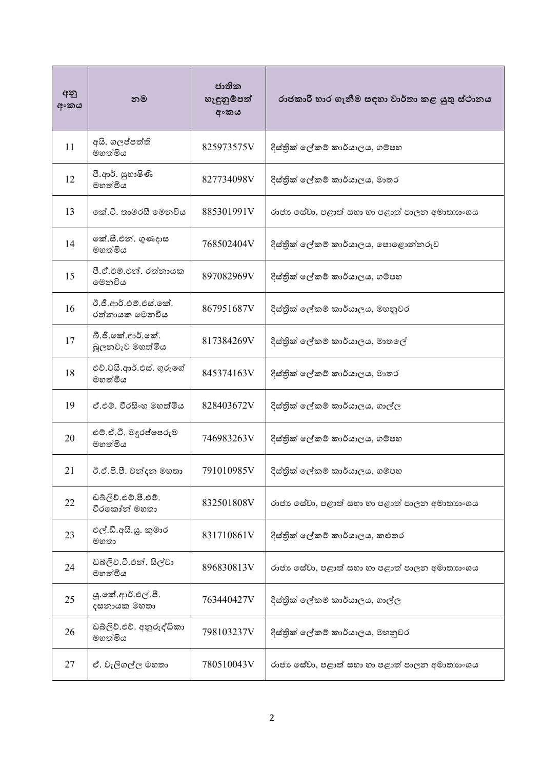| අනු<br>අංකය | නම                                     | ජාතික<br>හැඳුනුම්පත්<br>අංකය | රාජකාරී භාර ගැනීම සඳහා වාර්තා කළ යුතු ස්ථානය |
|-------------|----------------------------------------|------------------------------|----------------------------------------------|
| 11          | අයි. ගලප්පත්ති<br>මහත්මිය              | 825973575V                   | දිස්තික් ලේකම් කාර්යාලය, ගම්පහ               |
| 12          | පී.ආර්. සුභාෂිණි<br>මහත්මිය            | 827734098V                   | දිස්තික් ලේකම් කාර්යාලය, මාතර                |
| 13          | කේ.ටී. තාමරසී මෙනවිය                   | 885301991V                   | රාජා සේවා, පළාත් සභා හා පළාත් පාලන අමාතාහංශය |
| 14          | කේ.සී.එන්. ගුණදාස<br>මහත්මිය           | 768502404V                   | දිස්තික් ලේකම් කාර්යාලය, පොළොන්නරුව          |
| 15          | පී.ඒ.එම්.එන්. රත්නායක<br>මෙනවිය        | 897082969V                   | දිස්තික් ලේකම් කාර්යාලය, ගම්පහ               |
| 16          | ඊ.ජී.ආර්.එම්.එස්.කේ.<br>රත්නායක මෙනවිය | 867951687V                   | දිස්තික් ලේකම් කාර්යාලය, මහනුවර              |
| 17          | බී.ජී.කේ.ආර්.කේ.<br>බුලනවැව මහත්මිය    | 817384269V                   | දිස්තික් ලේකම් කාර්යාලය, මාතලේ               |
| 18          | එච්.වයි.ආර්.එස්. ගුරුගේ<br>මහත්මිය     | 845374163V                   | දිස්තික් ලේකම් කාර්යාලය, මාතර                |
| 19          | ඒ.එම්. වීරසිංහ මහත්මිය                 | 828403672V                   | දිස්තික් ලේකම් කාර්යාලය, ගාල්ල               |
| 20          | එම්.ඒ.ටී. මදුරප්පෙරුම<br>මහත්මිය       | 746983263V                   | දිස්තික් ලේකම් කාර්යාලය, ගම්පහ               |
| 21          | ඊ.ඒ.පී.පී. චන්දන මහතා                  | 791010985V                   | දිස්තික් ලේකම් කාර්යාලය, ගම්පහ               |
| 22          | ඩබ්ලිව්.එම්.පී.එම්.<br>වීරකෝන් මහතා    | 832501808V                   | රාජා සේවා, පළාත් සභා හා පළාත් පාලන අමාතාහංශය |
| 23          | එල්.ඩී.අයි.යූ. කුමාර<br>මහතා           | 831710861V                   | දිස්තික් ලේකම් කාර්යාලය, කළුතර               |
| 24          | ඩබ්ලිව්.ටී.එන්. සිල්වා<br>මහත්මිය      | 896830813V                   | රාජා සේවා, පළාත් සභා හා පළාත් පාලන අමාතාහංශය |
| 25          | යූ.කේ.ආර්.එල්.පී.<br>දසනායක මහතා       | 763440427V                   | දිස්තික් ලේකම් කාර්යාලය, ගාල්ල               |
| 26          | ඩබ්ලිව්.එච්. අනුරුද්ධිකා<br>මහත්මිය    | 798103237V                   | දිස්තික් ලේකම් කාර්යාලය, මහනුවර              |
| 27          | ඒ. වැලිගල්ල මහතා                       | 780510043V                   | රාජා සේවා, පළාත් සභා හා පළාත් පාලන අමාතාහංශය |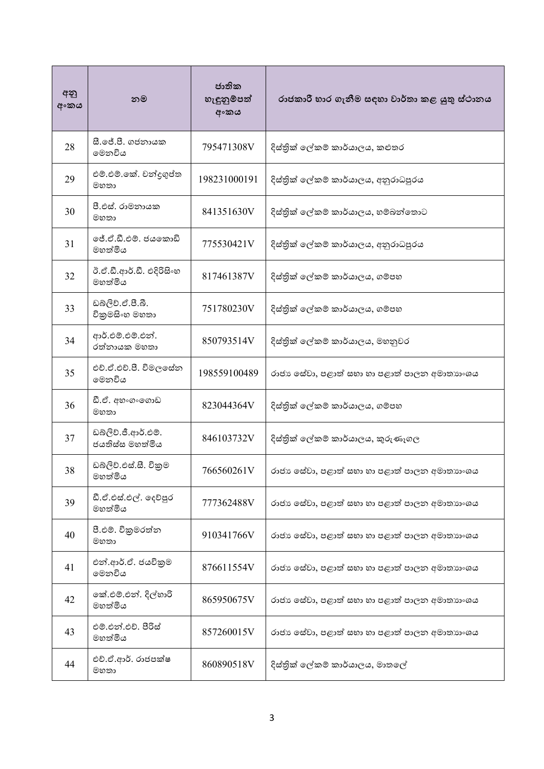| අනු<br>අංකය | නම                                     | ජාතික<br>හැඳුනුම්පත්<br>අංකය | රාජකාරී භාර ගැනීම සඳහා වාර්තා කළ යුතු ස්ථානය |
|-------------|----------------------------------------|------------------------------|----------------------------------------------|
| 28          | සී.ජේ.පී. ගජනායක<br>මෙනවිය             | 795471308V                   | දිස්තික් ලේකම් කාර්යාලය, කළුතර               |
| 29          | එම්.එම්.කේ. චන්දුගුප්ත<br>මහතා         | 198231000191                 | දිස්තික් ලේකම් කාර්යාලය, අනුරාධපුරය          |
| 30          | පී.එස්. රාමනායක<br>මහතා                | 841351630V                   | දිස්තික් ලේකම් කාර්යාලය, හම්බන්තොට           |
| 31          | ජේ.ඒ.ඩී.එම්. ජයකොඩි<br>මහත්මිය         | 775530421V                   | දිස්තික් ලේකම් කාර්යාලය, අනුරාධපුරය          |
| 32          | ඊ.ඒ.ඩී.ආර්.ඩී. එදිරිසිංහ<br>මහත්මිය    | 817461387V                   | දිස්තික් ලේකම් කාර්යාලය, ගම්පහ               |
| 33          | ඩබලිව්.ඒ.පී.බී.<br>විකුමසිංහ මහතා      | 751780230V                   | දිස්තික් ලේකම් කාර්යාලය, ගම්පහ               |
| 34          | ආර්.එම්.එම්.එන්.<br>රත්නායක මහතා       | 850793514V                   | දිස්තික් ලේකම් කාර්යාලය, මහනුවර              |
| 35          | එච්.ඒ.එච්.පී. විමලසේන<br>මෙනවිය        | 198559100489                 | රාජා සේවා, පළාත් සභා හා පළාත් පාලන අමාතාහංශය |
| 36          | ඩී.ඒ. අහංගංගොඩ<br>මහතා                 | 823044364V                   | දිස්තික් ලේකම් කාර්යාලය, ගම්පහ               |
| 37          | ඩබ්ලිව්.ජී.ආර්.එම්.<br>ජයතිස්ස මහත්මිය | 846103732V                   | දිස්තික් ලේකම් කාර්යාලය, කුරුණෑගල            |
| 38          | ඩබ්ලිව්.එස්.සී. විකුම<br>මහත්මිය       | 766560261V                   | රාජා සේවා, පළාත් සභා හා පළාත් පාලන අමාතාාංශය |
| 39          | ඩී.ඒ.එස්.එල්. දෙව්පූර<br>මහත්මිය       | 777362488V                   | රාජා සේවා, පළාත් සභා හා පළාත් පාලන අමාතාහංශය |
| 40          | පී.එම්. විකුමරත්න<br>මහතා              | 910341766V                   | රාජා සේවා, පළාත් සභා හා පළාත් පාලන අමාතාහංශය |
| 41          | එන්.ආර්.ඒ. ජයවිකුම<br>මෙනවිය           | 876611554V                   | රාජා සේවා, පළාත් සභා හා පළාත් පාලන අමාතාහංශය |
| 42          | කේ.එම්.එන්. දිල්හාරි<br>මහත්මිය        | 865950675V                   | රාජා සේවා, පළාත් සභා හා පළාත් පාලන අමාතාහංශය |
| 43          | එම්.එන්.එච්. පීරිස්<br>මහත්මිය         | 857260015V                   | රාජා සේවා, පළාත් සභා හා පළාත් පාලන අමාතාහංශය |
| 44          | එච්.ඒ.ආර්. රාජපක්ෂ<br>මහතා             | 860890518V                   | දිස්තික් ලේකම් කාර්යාලය, මාතලේ               |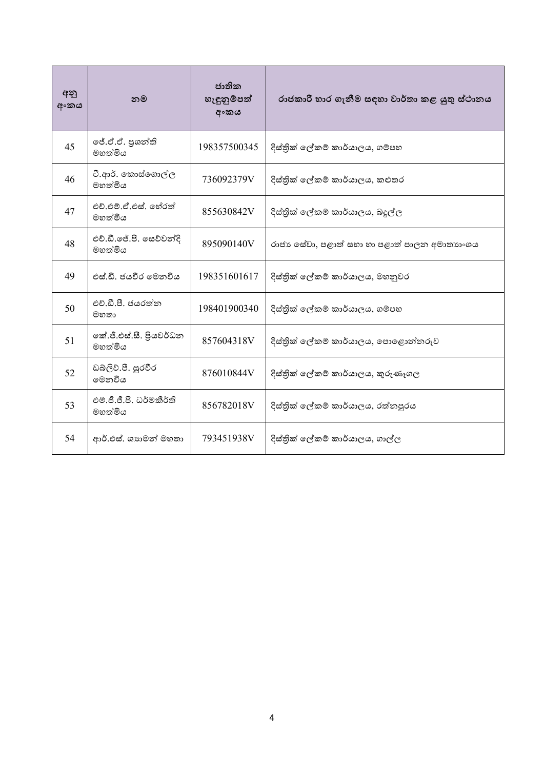| අනු<br>අංකය | නම                                  | ජාතික<br>හැඳුනුම්පත්<br>අංකය | රාජකාරී භාර ගැනීම සඳහා වාර්තා කළ යුතු ස්ථානය |
|-------------|-------------------------------------|------------------------------|----------------------------------------------|
| 45          | ජේ.ඒ.ඒ. පුශන්ති<br>මහත්මිය          | 198357500345                 | දිස්තික් ලේකම් කාර්යාලය, ගම්පහ               |
| 46          | ටී.ආර්. කොස්ගොල්ල<br>මහත්මිය        | 736092379V                   | දිස්තික් ලේකම් කාර්යාලය, කළුතර               |
| 47          | එච්.එම්.ඒ.එස්. හේරත්<br>මහත්මිය     | 855630842V                   | දිස්තික් ලේකම් කාර්යාලය, බදුල්ල              |
| 48          | එච්.ඩී.ජේ.පී. සෙව්වන්දි<br>මහත්මිය  | 895090140V                   | රාජා සේවා, පළාත් සභා හා පළාත් පාලන අමාතාගංශය |
| 49          | එස්.ඩී. ජයවීර මෙනවිය                | 198351601617                 | දිස්තික් ලේකම් කාර්යාලය, මහනුවර              |
| 50          | එච්.ඩී.පී. ජයරත්ත<br>මහතා           | 198401900340                 | දිස්තික් ලේකම් කාර්යාලය, ගම්පහ               |
| 51          | කේ.ජී.එස්.සී. පියවර්ධන<br>මහත්මිය   | 857604318V                   | දිස්තික් ලේකම් කාර්යාලය, පොළොන්නරුව          |
| 52          | ඩබ්ලිව්.පී. සුරවීර<br>මෙනවිය        | 876010844V                   | දිස්තික් ලේකම් කාර්යාලය, කුරුණෑගල            |
| 53          | එම්.ජී.ජී.පී. ධර්මකීර්ති<br>මහත්මිය | 856782018V                   | දිස්තික් ලේකම් කාර්යාලය, රත්නපුරය            |
| 54          | ආර්.එස්. ශාහමන් මහතා                | 793451938V                   | දිස්තික් ලේකම් කාර්යාලය, ගාල්ල               |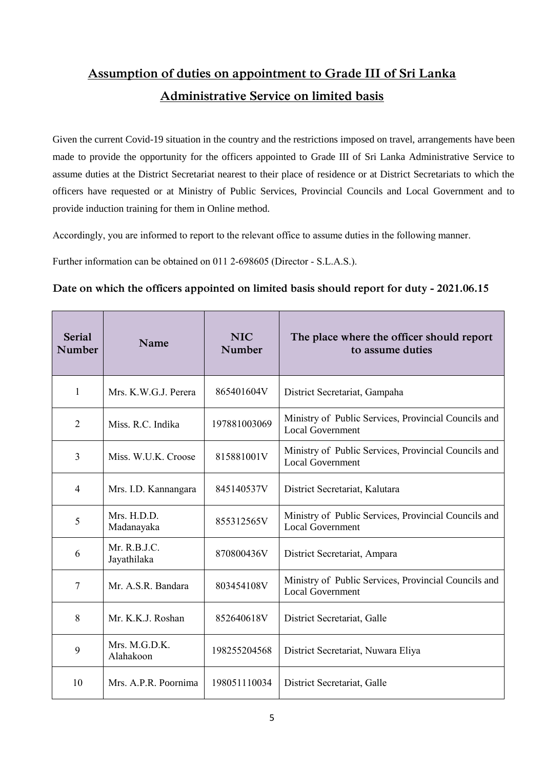## **Assumption of duties on appointment to Grade III of Sri Lanka Administrative Service on limited basis**

Given the current Covid-19 situation in the country and the restrictions imposed on travel, arrangements have been made to provide the opportunity for the officers appointed to Grade III of Sri Lanka Administrative Service to assume duties at the District Secretariat nearest to their place of residence or at District Secretariats to which the officers have requested or at Ministry of Public Services, Provincial Councils and Local Government and to provide induction training for them in Online method.

Accordingly, you are informed to report to the relevant office to assume duties in the following manner.

Further information can be obtained on 011 2-698605 (Director - S.L.A.S.).

## **Date on which the officers appointed on limited basis should report for duty - 2021.06.15**

| <b>Serial</b><br>Number | Name                        | <b>NIC</b><br><b>Number</b> | The place where the officer should report<br>to assume duties                   |
|-------------------------|-----------------------------|-----------------------------|---------------------------------------------------------------------------------|
| 1                       | Mrs. K.W.G.J. Perera        | 865401604V                  | District Secretariat, Gampaha                                                   |
| 2                       | Miss. R.C. Indika           | 197881003069                | Ministry of Public Services, Provincial Councils and<br><b>Local Government</b> |
| 3                       | Miss. W.U.K. Croose         | 815881001V                  | Ministry of Public Services, Provincial Councils and<br><b>Local Government</b> |
| $\overline{4}$          | Mrs. I.D. Kannangara        | 845140537V                  | District Secretariat, Kalutara                                                  |
| 5                       | Mrs. H.D.D.<br>Madanayaka   | 855312565V                  | Ministry of Public Services, Provincial Councils and<br><b>Local Government</b> |
| 6                       | Mr. R.B.J.C.<br>Jayathilaka | 870800436V                  | District Secretariat, Ampara                                                    |
| 7                       | Mr. A.S.R. Bandara          | 803454108V                  | Ministry of Public Services, Provincial Councils and<br><b>Local Government</b> |
| 8                       | Mr. K.K.J. Roshan           | 852640618V                  | District Secretariat, Galle                                                     |
| 9                       | Mrs. M.G.D.K.<br>Alahakoon  | 198255204568                | District Secretariat, Nuwara Eliya                                              |
| 10                      | Mrs. A.P.R. Poornima        | 198051110034                | District Secretariat, Galle                                                     |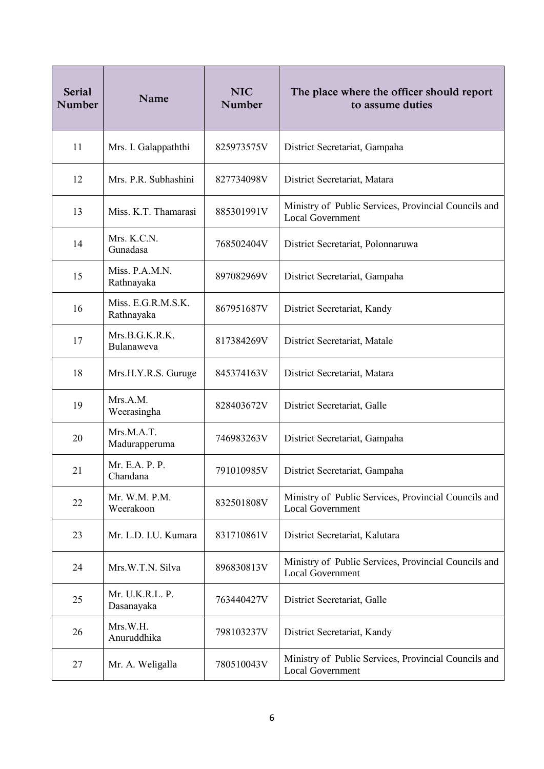| <b>Serial</b><br>Number | Name                             | <b>NIC</b><br>Number | The place where the officer should report<br>to assume duties                   |
|-------------------------|----------------------------------|----------------------|---------------------------------------------------------------------------------|
| 11                      | Mrs. I. Galappaththi             | 825973575V           | District Secretariat, Gampaha                                                   |
| 12                      | Mrs. P.R. Subhashini             | 827734098V           | District Secretariat, Matara                                                    |
| 13                      | Miss. K.T. Thamarasi             | 885301991V           | Ministry of Public Services, Provincial Councils and<br><b>Local Government</b> |
| 14                      | Mrs. K.C.N.<br>Gunadasa          | 768502404V           | District Secretariat, Polonnaruwa                                               |
| 15                      | Miss. P.A.M.N.<br>Rathnayaka     | 897082969V           | District Secretariat, Gampaha                                                   |
| 16                      | Miss. E.G.R.M.S.K.<br>Rathnayaka | 867951687V           | District Secretariat, Kandy                                                     |
| 17                      | Mrs.B.G.K.R.K.<br>Bulanaweva     | 817384269V           | District Secretariat, Matale                                                    |
| 18                      | Mrs.H.Y.R.S. Guruge              | 845374163V           | District Secretariat, Matara                                                    |
| 19                      | Mrs.A.M.<br>Weerasingha          | 828403672V           | District Secretariat, Galle                                                     |
| 20                      | Mrs.M.A.T.<br>Madurapperuma      | 746983263V           | District Secretariat, Gampaha                                                   |
| 21                      | Mr. E.A. P. P.<br>Chandana       | 791010985V           | District Secretariat, Gampaha                                                   |
| 22                      | Mr. W.M. P.M.<br>Weerakoon       | 832501808V           | Ministry of Public Services, Provincial Councils and<br><b>Local Government</b> |
| 23                      | Mr. L.D. I.U. Kumara             | 831710861V           | District Secretariat, Kalutara                                                  |
| 24                      | Mrs.W.T.N. Silva                 | 896830813V           | Ministry of Public Services, Provincial Councils and<br><b>Local Government</b> |
| 25                      | Mr. U.K.R.L. P.<br>Dasanayaka    | 763440427V           | District Secretariat, Galle                                                     |
| 26                      | Mrs.W.H.<br>Anuruddhika          | 798103237V           | District Secretariat, Kandy                                                     |
| 27                      | Mr. A. Weligalla                 | 780510043V           | Ministry of Public Services, Provincial Councils and<br><b>Local Government</b> |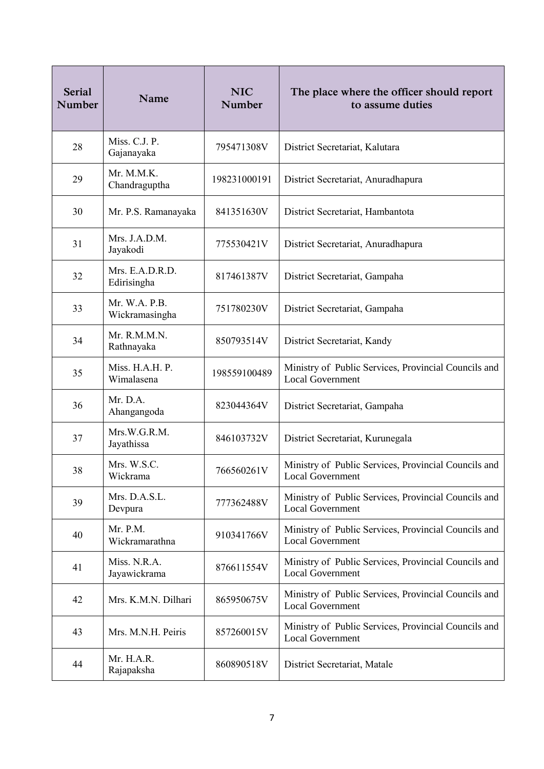| <b>Serial</b><br>Number | Name                            | <b>NIC</b><br>Number | The place where the officer should report<br>to assume duties                   |
|-------------------------|---------------------------------|----------------------|---------------------------------------------------------------------------------|
| 28                      | Miss. C.J. P.<br>Gajanayaka     | 795471308V           | District Secretariat, Kalutara                                                  |
| 29                      | Mr. M.M.K.<br>Chandraguptha     | 198231000191         | District Secretariat, Anuradhapura                                              |
| 30                      | Mr. P.S. Ramanayaka             | 841351630V           | District Secretariat, Hambantota                                                |
| 31                      | Mrs. J.A.D.M.<br>Jayakodi       | 775530421V           | District Secretariat, Anuradhapura                                              |
| 32                      | Mrs. E.A.D.R.D.<br>Edirisingha  | 817461387V           | District Secretariat, Gampaha                                                   |
| 33                      | Mr. W.A. P.B.<br>Wickramasingha | 751780230V           | District Secretariat, Gampaha                                                   |
| 34                      | Mr. R.M.M.N.<br>Rathnayaka      | 850793514V           | District Secretariat, Kandy                                                     |
| 35                      | Miss. H.A.H. P.<br>Wimalasena   | 198559100489         | Ministry of Public Services, Provincial Councils and<br><b>Local Government</b> |
| 36                      | Mr. D.A.<br>Ahangangoda         | 823044364V           | District Secretariat, Gampaha                                                   |
| 37                      | Mrs.W.G.R.M.<br>Jayathissa      | 846103732V           | District Secretariat, Kurunegala                                                |
| 38                      | Mrs. W.S.C.<br>Wickrama         | 766560261V           | Ministry of Public Services, Provincial Councils and<br><b>Local Government</b> |
| 39                      | Mrs. D.A.S.L.<br>Devpura        | 777362488V           | Ministry of Public Services, Provincial Councils and<br><b>Local Government</b> |
| 40                      | Mr. P.M.<br>Wickramarathna      | 910341766V           | Ministry of Public Services, Provincial Councils and<br><b>Local Government</b> |
| 41                      | Miss. N.R.A.<br>Jayawickrama    | 876611554V           | Ministry of Public Services, Provincial Councils and<br><b>Local Government</b> |
| 42                      | Mrs. K.M.N. Dilhari             | 865950675V           | Ministry of Public Services, Provincial Councils and<br><b>Local Government</b> |
| 43                      | Mrs. M.N.H. Peiris              | 857260015V           | Ministry of Public Services, Provincial Councils and<br><b>Local Government</b> |
| 44                      | Mr. H.A.R.<br>Rajapaksha        | 860890518V           | District Secretariat, Matale                                                    |